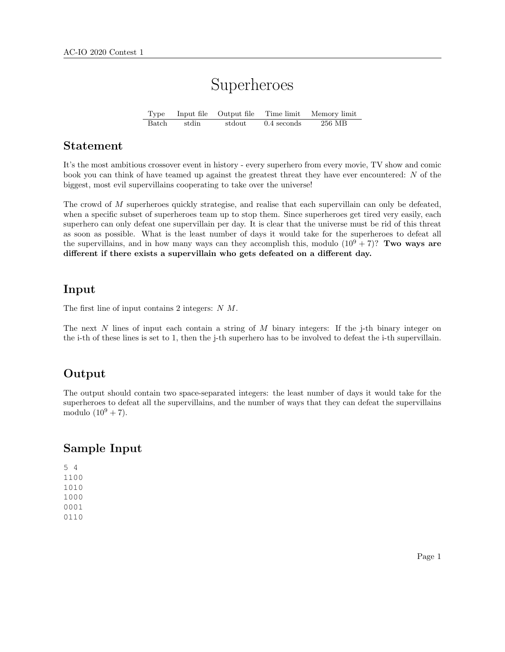# Superheroes

Type Input file Output file Time limit Memory limit Batch stdin stdout 0.4 seconds 256 MB

#### Statement

It's the most ambitious crossover event in history - every superhero from every movie, TV show and comic book you can think of have teamed up against the greatest threat they have ever encountered: N of the biggest, most evil supervillains cooperating to take over the universe!

The crowd of M superheroes quickly strategise, and realise that each supervillain can only be defeated, when a specific subset of superheroes team up to stop them. Since superheroes get tired very easily, each superhero can only defeat one supervillain per day. It is clear that the universe must be rid of this threat as soon as possible. What is the least number of days it would take for the superheroes to defeat all the supervillains, and in how many ways can they accomplish this, modulo  $(10^9 + 7)$ ? Two ways are different if there exists a supervillain who gets defeated on a different day.

#### Input

The first line of input contains 2 integers: N M.

The next  $N$  lines of input each contain a string of  $M$  binary integers: If the j-th binary integer on the i-th of these lines is set to 1, then the j-th superhero has to be involved to defeat the i-th supervillain.

## Output

The output should contain two space-separated integers: the least number of days it would take for the superheroes to defeat all the supervillains, and the number of ways that they can defeat the supervillains modulo  $(10^9 + 7)$ .

#### Sample Input